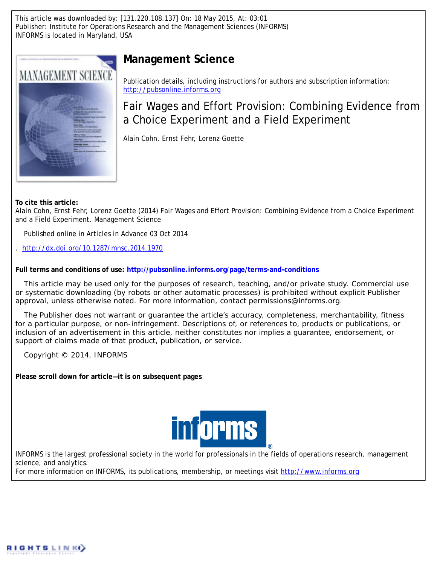This article was downloaded by: [131.220.108.137] On: 18 May 2015, At: 03:01 Publisher: Institute for Operations Research and the Management Sciences (INFORMS) INFORMS is located in Maryland, USA



## **Management Science**

Publication details, including instructions for authors and subscription information: <http://pubsonline.informs.org>

Fair Wages and Effort Provision: Combining Evidence from a Choice Experiment and a Field Experiment

Alain Cohn, Ernst Fehr, Lorenz Goette

**To cite this article:**

Alain Cohn, Ernst Fehr, Lorenz Goette (2014) Fair Wages and Effort Provision: Combining Evidence from a Choice Experiment and a Field Experiment. Management Science

Published online in Articles in Advance 03 Oct 2014

. <http://dx.doi.org/10.1287/mnsc.2014.1970>

**Full terms and conditions of use: <http://pubsonline.informs.org/page/terms-and-conditions>**

This article may be used only for the purposes of research, teaching, and/or private study. Commercial use or systematic downloading (by robots or other automatic processes) is prohibited without explicit Publisher approval, unless otherwise noted. For more information, contact permissions@informs.org.

The Publisher does not warrant or guarantee the article's accuracy, completeness, merchantability, fitness for a particular purpose, or non-infringement. Descriptions of, or references to, products or publications, or inclusion of an advertisement in this article, neither constitutes nor implies a guarantee, endorsement, or support of claims made of that product, publication, or service.

Copyright © 2014, INFORMS

**Please scroll down for article—it is on subsequent pages**



INFORMS is the largest professional society in the world for professionals in the fields of operations research, management science, and analytics.

For more information on INFORMS, its publications, membership, or meetings visit <http://www.informs.org>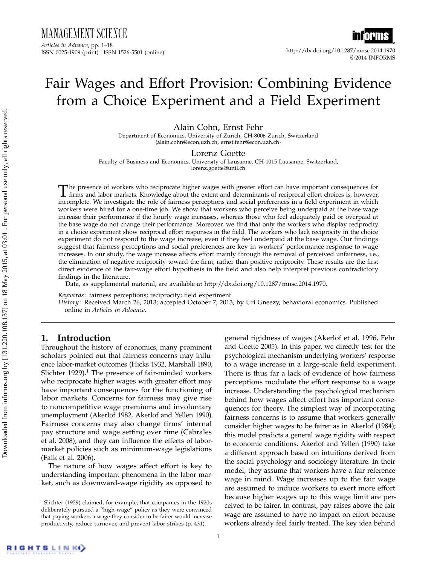# Fair Wages and Effort Provision: Combining Evidence from a Choice Experiment and a Field Experiment

Alain Cohn, Ernst Fehr

Department of Economics, University of Zurich, CH-8006 Zurich, Switzerland {alain.cohn@econ.uzh.ch, ernst.fehr@econ.uzh.ch}

## Lorenz Goette

Faculty of Business and Economics, University of Lausanne, CH-1015 Lausanne, Switzerland, lorenz.goette@unil.ch

The presence of workers who reciprocate higher wages with greater effort can have important consequences for firms and labor markets. Knowledge about the extent and determinants of reciprocal effort choices is, however, he presence of workers who reciprocate higher wages with greater effort can have important consequences for incomplete. We investigate the role of fairness perceptions and social preferences in a field experiment in which workers were hired for a one-time job. We show that workers who perceive being underpaid at the base wage increase their performance if the hourly wage increases, whereas those who feel adequately paid or overpaid at the base wage do not change their performance. Moreover, we find that only the workers who display reciprocity in a choice experiment show reciprocal effort responses in the field. The workers who lack reciprocity in the choice experiment do not respond to the wage increase, even if they feel underpaid at the base wage. Our findings suggest that fairness perceptions and social preferences are key in workers' performance response to wage increases. In our study, the wage increase affects effort mainly through the removal of perceived unfairness, i.e., the elimination of negative reciprocity toward the firm, rather than positive reciprocity. These results are the first direct evidence of the fair-wage effort hypothesis in the field and also help interpret previous contradictory findings in the literature.

Data, as supplemental material, are available at http://dx.doi.org/10.1287/mnsc.2014.1970.

Keywords: fairness perceptions; reciprocity; field experiment

History: Received March 26, 2013; accepted October 7, 2013, by Uri Gneezy, behavioral economics. Published online in Articles in Advance.

## 1. Introduction

MANAGEMENT SCIENCE

Throughout the history of economics, many prominent scholars pointed out that fairness concerns may influence labor-market outcomes (Hicks 1932, Marshall 1890, Slichter 1929). $<sup>1</sup>$  The presence of fair-minded workers</sup> who reciprocate higher wages with greater effort may have important consequences for the functioning of labor markets. Concerns for fairness may give rise to noncompetitive wage premiums and involuntary unemployment (Akerlof 1982, Akerlof and Yellen 1990). Fairness concerns may also change firms' internal pay structure and wage setting over time (Cabrales et al. 2008), and they can influence the effects of labormarket policies such as minimum-wage legislations (Falk et al. 2006).

The nature of how wages affect effort is key to understanding important phenomena in the labor market, such as downward-wage rigidity as opposed to general rigidness of wages (Akerlof et al. 1996, Fehr and Goette 2005). In this paper, we directly test for the psychological mechanism underlying workers' response to a wage increase in a large-scale field experiment. There is thus far a lack of evidence of how fairness perceptions modulate the effort response to a wage increase. Understanding the psychological mechanism behind how wages affect effort has important consequences for theory. The simplest way of incorporating fairness concerns is to assume that workers generally consider higher wages to be fairer as in Akerlof (1984); this model predicts a general wage rigidity with respect to economic conditions. Akerlof and Yellen (1990) take a different approach based on intuitions derived from the social psychology and sociology literature. In their model, they assume that workers have a fair reference wage in mind. Wage increases up to the fair wage are assumed to induce workers to exert more effort because higher wages up to this wage limit are perceived to be fairer. In contrast, pay raises above the fair wage are assumed to have no impact on effort because workers already feel fairly treated. The key idea behind

Downloaded from informs.org by [131.220.108.137] on 18 May 2015, at 03:01 . For personal use only, all rights reserved. Downloaded from informs.org by [131.220.108.137] on 18 May 2015, at 03:01 . For personal use only, all rights reserved

<sup>&</sup>lt;sup>1</sup> Slichter (1929) claimed, for example, that companies in the 1920s deliberately pursued a "high-wage" policy as they were convinced that paying workers a wage they consider to be fairer would increase productivity, reduce turnover, and prevent labor strikes (p. 431).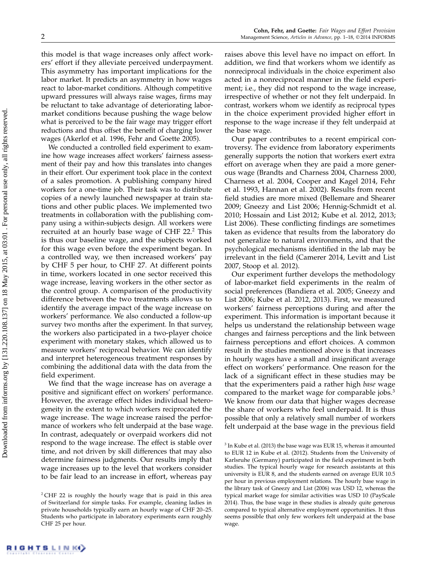this model is that wage increases only affect workers' effort if they alleviate perceived underpayment. This asymmetry has important implications for the labor market. It predicts an asymmetry in how wages react to labor-market conditions. Although competitive upward pressures will always raise wages, firms may be reluctant to take advantage of deteriorating labormarket conditions because pushing the wage below what is perceived to be the fair wage may trigger effort reductions and thus offset the benefit of charging lower wages (Akerlof et al. 1996, Fehr and Goette 2005).

We conducted a controlled field experiment to examine how wage increases affect workers' fairness assessment of their pay and how this translates into changes in their effort. Our experiment took place in the context of a sales promotion. A publishing company hired workers for a one-time job. Their task was to distribute copies of a newly launched newspaper at train stations and other public places. We implemented two treatments in collaboration with the publishing company using a within-subjects design. All workers were recruited at an hourly base wage of CHF 22.<sup>2</sup> This is thus our baseline wage, and the subjects worked for this wage even before the experiment began. In a controlled way, we then increased workers' pay by CHF 5 per hour, to CHF 27. At different points in time, workers located in one sector received this wage increase, leaving workers in the other sector as the control group. A comparison of the productivity difference between the two treatments allows us to identify the average impact of the wage increase on workers' performance. We also conducted a follow-up survey two months after the experiment. In that survey, the workers also participated in a two-player choice experiment with monetary stakes, which allowed us to measure workers' reciprocal behavior. We can identify and interpret heterogeneous treatment responses by combining the additional data with the data from the field experiment.

We find that the wage increase has on average a positive and significant effect on workers' performance. However, the average effect hides individual heterogeneity in the extent to which workers reciprocated the wage increase. The wage increase raised the performance of workers who felt underpaid at the base wage. In contrast, adequately or overpaid workers did not respond to the wage increase. The effect is stable over time, and not driven by skill differences that may also determine fairness judgments. Our results imply that wage increases up to the level that workers consider to be fair lead to an increase in effort, whereas pay

raises above this level have no impact on effort. In addition, we find that workers whom we identify as nonreciprocal individuals in the choice experiment also acted in a nonreciprocal manner in the field experiment; i.e., they did not respond to the wage increase, irrespective of whether or not they felt underpaid. In contrast, workers whom we identify as reciprocal types in the choice experiment provided higher effort in response to the wage increase if they felt underpaid at the base wage.

Our paper contributes to a recent empirical controversy. The evidence from laboratory experiments generally supports the notion that workers exert extra effort on average when they are paid a more generous wage (Brandts and Charness 2004, Charness 2000, Charness et al. 2004, Cooper and Kagel 2014, Fehr et al. 1993, Hannan et al. 2002). Results from recent field studies are more mixed (Bellemare and Shearer 2009; Gneezy and List 2006; Hennig-Schmidt et al. 2010; Hossain and List 2012; Kube et al. 2012, 2013; List 2006). These conflicting findings are sometimes taken as evidence that results from the laboratory do not generalize to natural environments, and that the psychological mechanisms identified in the lab may be irrelevant in the field (Camerer 2014, Levitt and List 2007, Stoop et al. 2012).

Our experiment further develops the methodology of labor-market field experiments in the realm of social preferences (Bandiera et al. 2005; Gneezy and List 2006; Kube et al. 2012, 2013). First, we measured workers' fairness perceptions during and after the experiment. This information is important because it helps us understand the relationship between wage changes and fairness perceptions and the link between fairness perceptions and effort choices. A common result in the studies mentioned above is that increases in hourly wages have a small and insignificant average effect on workers' performance. One reason for the lack of a significant effect in these studies may be that the experimenters paid a rather high base wage compared to the market wage for comparable jobs.<sup>3</sup> We know from our data that higher wages decrease the share of workers who feel underpaid. It is thus possible that only a relatively small number of workers felt underpaid at the base wage in the previous field

 $2^2$ CHF 22 is roughly the hourly wage that is paid in this area of Switzerland for simple tasks. For example, cleaning ladies in private households typically earn an hourly wage of CHF 20–25. Students who participate in laboratory experiments earn roughly CHF 25 per hour.

 $^3$  In Kube et al. (2013) the base wage was EUR 15, whereas it amounted to EUR 12 in Kube et al. (2012). Students from the University of Karlsruhe (Germany) participated in the field experiment in both studies. The typical hourly wage for research assistants at this university is EUR 8, and the students earned on average EUR 10.5 per hour in previous employment relations. The hourly base wage in the library task of Gneezy and List (2006) was USD 12, whereas the typical market wage for similar activities was USD 10 (PayScale 2014). Thus, the base wage in these studies is already quite generous compared to typical alternative employment opportunities. It thus seems possible that only few workers felt underpaid at the base wage.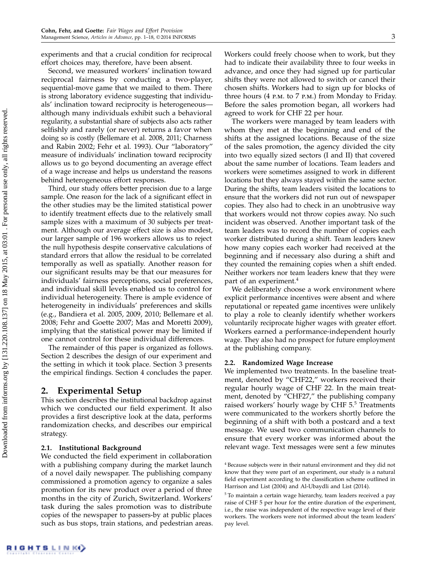experiments and that a crucial condition for reciprocal effort choices may, therefore, have been absent.

Second, we measured workers' inclination toward reciprocal fairness by conducting a two-player, sequential-move game that we mailed to them. There is strong laboratory evidence suggesting that individuals' inclination toward reciprocity is heterogeneous although many individuals exhibit such a behavioral regularity, a substantial share of subjects also acts rather selfishly and rarely (or never) returns a favor when doing so is costly (Bellemare et al. 2008, 2011; Charness and Rabin 2002; Fehr et al. 1993). Our "laboratory" measure of individuals' inclination toward reciprocity allows us to go beyond documenting an average effect of a wage increase and helps us understand the reasons behind heterogeneous effort responses.

Third, our study offers better precision due to a large sample. One reason for the lack of a significant effect in the other studies may be the limited statistical power to identify treatment effects due to the relatively small sample sizes with a maximum of 30 subjects per treatment. Although our average effect size is also modest, our larger sample of 196 workers allows us to reject the null hypothesis despite conservative calculations of standard errors that allow the residual to be correlated temporally as well as spatially. Another reason for our significant results may be that our measures for individuals' fairness perceptions, social preferences, and individual skill levels enabled us to control for individual heterogeneity. There is ample evidence of heterogeneity in individuals' preferences and skills (e.g., Bandiera et al. 2005, 2009, 2010; Bellemare et al. 2008; Fehr and Goette 2007; Mas and Moretti 2009), implying that the statistical power may be limited if one cannot control for these individual differences.

The remainder of this paper is organized as follows. Section 2 describes the design of our experiment and the setting in which it took place. Section 3 presents the empirical findings. Section 4 concludes the paper.

## 2. Experimental Setup

This section describes the institutional backdrop against which we conducted our field experiment. It also provides a first descriptive look at the data, performs randomization checks, and describes our empirical strategy.

## 2.1. Institutional Background

We conducted the field experiment in collaboration with a publishing company during the market launch of a novel daily newspaper. The publishing company commissioned a promotion agency to organize a sales promotion for its new product over a period of three months in the city of Zurich, Switzerland. Workers' task during the sales promotion was to distribute copies of the newspaper to passers-by at public places such as bus stops, train stations, and pedestrian areas. Workers could freely choose when to work, but they had to indicate their availability three to four weeks in advance, and once they had signed up for particular shifts they were not allowed to switch or cancel their chosen shifts. Workers had to sign up for blocks of three hours (4 p.m. to 7 p.m.) from Monday to Friday. Before the sales promotion began, all workers had agreed to work for CHF 22 per hour.

The workers were managed by team leaders with whom they met at the beginning and end of the shifts at the assigned locations. Because of the size of the sales promotion, the agency divided the city into two equally sized sectors (I and II) that covered about the same number of locations. Team leaders and workers were sometimes assigned to work in different locations but they always stayed within the same sector. During the shifts, team leaders visited the locations to ensure that the workers did not run out of newspaper copies. They also had to check in an unobtrusive way that workers would not throw copies away. No such incident was observed. Another important task of the team leaders was to record the number of copies each worker distributed during a shift. Team leaders knew how many copies each worker had received at the beginning and if necessary also during a shift and they counted the remaining copies when a shift ended. Neither workers nor team leaders knew that they were part of an experiment.<sup>4</sup>

We deliberately choose a work environment where explicit performance incentives were absent and where reputational or repeated game incentives were unlikely to play a role to cleanly identify whether workers voluntarily reciprocate higher wages with greater effort. Workers earned a performance-independent hourly wage. They also had no prospect for future employment at the publishing company.

#### 2.2. Randomized Wage Increase

We implemented two treatments. In the baseline treatment, denoted by "CHF22," workers received their regular hourly wage of CHF 22. In the main treatment, denoted by "CHF27," the publishing company raised workers' hourly wage by CHF 5.<sup>5</sup> Treatments were communicated to the workers shortly before the beginning of a shift with both a postcard and a text message. We used two communication channels to ensure that every worker was informed about the relevant wage. Text messages were sent a few minutes

<sup>4</sup> Because subjects were in their natural environment and they did not know that they were part of an experiment, our study is a natural field experiment according to the classification scheme outlined in Harrison and List (2004) and Al-Ubaydli and List (2014).

<sup>5</sup> To maintain a certain wage hierarchy, team leaders received a pay raise of CHF 5 per hour for the entire duration of the experiment, i.e., the raise was independent of the respective wage level of their workers. The workers were not informed about the team leaders' pay level.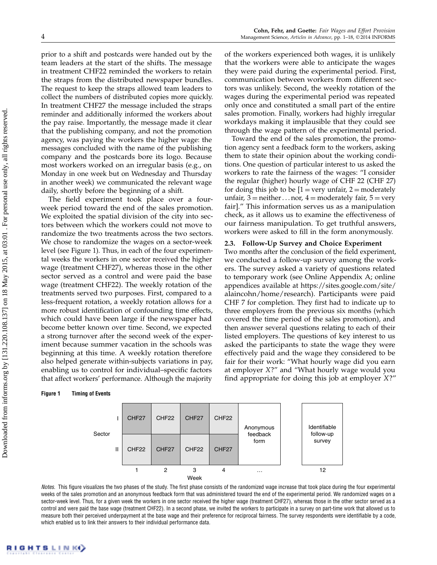prior to a shift and postcards were handed out by the team leaders at the start of the shifts. The message in treatment CHF22 reminded the workers to retain the straps from the distributed newspaper bundles. The request to keep the straps allowed team leaders to collect the numbers of distributed copies more quickly. In treatment CHF27 the message included the straps reminder and additionally informed the workers about the pay raise. Importantly, the message made it clear that the publishing company, and not the promotion agency, was paying the workers the higher wage: the messages concluded with the name of the publishing company and the postcards bore its logo. Because most workers worked on an irregular basis (e.g., on Monday in one week but on Wednesday and Thursday in another week) we communicated the relevant wage daily, shortly before the beginning of a shift.

The field experiment took place over a fourweek period toward the end of the sales promotion. We exploited the spatial division of the city into sectors between which the workers could not move to randomize the two treatments across the two sectors. We chose to randomize the wages on a sector-week level (see Figure 1). Thus, in each of the four experimental weeks the workers in one sector received the higher wage (treatment CHF27), whereas those in the other sector served as a control and were paid the base wage (treatment CHF22). The weekly rotation of the treatments served two purposes. First, compared to a less-frequent rotation, a weekly rotation allows for a more robust identification of confounding time effects, which could have been large if the newspaper had become better known over time. Second, we expected a strong turnover after the second week of the experiment because summer vacation in the schools was beginning at this time. A weekly rotation therefore also helped generate within-subjects variations in pay, enabling us to control for individual–specific factors that affect workers' performance. Although the majority

#### Figure 1 Timing of Events

of the workers experienced both wages, it is unlikely that the workers were able to anticipate the wages they were paid during the experimental period. First, communication between workers from different sectors was unlikely. Second, the weekly rotation of the wages during the experimental period was repeated only once and constituted a small part of the entire sales promotion. Finally, workers had highly irregular workdays making it implausible that they could see through the wage pattern of the experimental period.

Toward the end of the sales promotion, the promotion agency sent a feedback form to the workers, asking them to state their opinion about the working conditions. One question of particular interest to us asked the workers to rate the fairness of the wages: "I consider the regular (higher) hourly wage of CHF 22 (CHF 27) for doing this job to be  $[1 = \text{very unfair}, 2 = \text{moderately}$ unfair,  $3 =$  neither... nor,  $4 =$  moderately fair,  $5 =$  very fair]." This information serves us as a manipulation check, as it allows us to examine the effectiveness of our fairness manipulation. To get truthful answers, workers were asked to fill in the form anonymously.

## 2.3. Follow-Up Survey and Choice Experiment

Two months after the conclusion of the field experiment, we conducted a follow-up survey among the workers. The survey asked a variety of questions related to temporary work (see Online Appendix A; online appendices available at https://sites.google.com/site/ alaincohn/home/research). Participants were paid CHF 7 for completion. They first had to indicate up to three employers from the previous six months (which covered the time period of the sales promotion), and then answer several questions relating to each of their listed employers. The questions of key interest to us asked the participants to state the wage they were effectively paid and the wage they considered to be fair for their work: "What hourly wage did you earn at employer X?" and "What hourly wage would you find appropriate for doing this job at employer X?"



Notes. This figure visualizes the two phases of the study. The first phase consists of the randomized wage increase that took place during the four experimental weeks of the sales promotion and an anonymous feedback form that was administered toward the end of the experimental period. We randomized wages on a sector-week level. Thus, for a given week the workers in one sector received the higher wage (treatment CHF27), whereas those in the other sector served as a control and were paid the base wage (treatment CHF22). In a second phase, we invited the workers to participate in a survey on part-time work that allowed us to measure both their perceived underpayment at the base wage and their preference for reciprocal fairness. The survey respondents were identifiable by a code, which enabled us to link their answers to their individual performance data.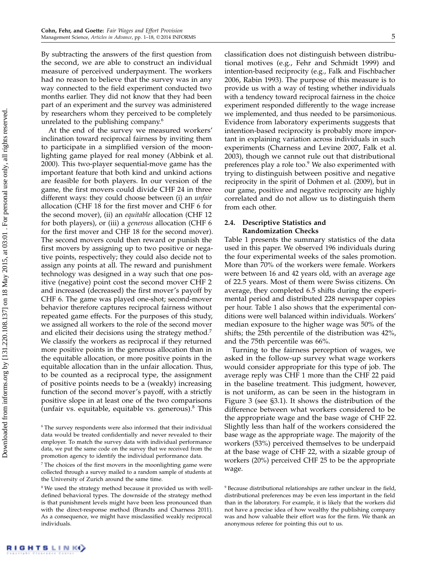By subtracting the answers of the first question from the second, we are able to construct an individual measure of perceived underpayment. The workers had no reason to believe that the survey was in any way connected to the field experiment conducted two months earlier. They did not know that they had been part of an experiment and the survey was administered by researchers whom they perceived to be completely unrelated to the publishing company.<sup>6</sup>

At the end of the survey we measured workers' inclination toward reciprocal fairness by inviting them to participate in a simplified version of the moonlighting game played for real money (Abbink et al. 2000). This two-player sequential-move game has the important feature that both kind and unkind actions are feasible for both players. In our version of the game, the first movers could divide CHF 24 in three different ways: they could choose between (i) an unfair allocation (CHF 18 for the first mover and CHF 6 for the second mover), (ii) an equitable allocation (CHF 12 for both players), or (iii) a generous allocation (CHF 6 for the first mover and CHF 18 for the second mover). The second movers could then reward or punish the first movers by assigning up to two positive or negative points, respectively; they could also decide not to assign any points at all. The reward and punishment technology was designed in a way such that one positive (negative) point cost the second mover CHF 2 and increased (decreased) the first mover's payoff by CHF 6. The game was played one-shot; second-mover behavior therefore captures reciprocal fairness without repeated game effects. For the purposes of this study, we assigned all workers to the role of the second mover and elicited their decisions using the strategy method.<sup>7</sup> We classify the workers as reciprocal if they returned more positive points in the generous allocation than in the equitable allocation, or more positive points in the equitable allocation than in the unfair allocation. Thus, to be counted as a reciprocal type, the assignment of positive points needs to be a (weakly) increasing function of the second mover's payoff, with a strictly positive slope in at least one of the two comparisons (unfair vs. equitable, equitable vs. generous). $8$  This

classification does not distinguish between distributional motives (e.g., Fehr and Schmidt 1999) and intention-based reciprocity (e.g., Falk and Fischbacher 2006, Rabin 1993). The purpose of this measure is to provide us with a way of testing whether individuals with a tendency toward reciprocal fairness in the choice experiment responded differently to the wage increase we implemented, and thus needed to be parsimonious. Evidence from laboratory experiments suggests that intention-based reciprocity is probably more important in explaining variation across individuals in such experiments (Charness and Levine 2007, Falk et al. 2003), though we cannot rule out that distributional preferences play a role too.<sup>9</sup> We also experimented with trying to distinguish between positive and negative reciprocity in the spirit of Dohmen et al. (2009), but in our game, positive and negative reciprocity are highly correlated and do not allow us to distinguish them from each other.

## 2.4. Descriptive Statistics and Randomization Checks

Table 1 presents the summary statistics of the data used in this paper. We observed 196 individuals during the four experimental weeks of the sales promotion. More than 70% of the workers were female. Workers were between 16 and 42 years old, with an average age of 22.5 years. Most of them were Swiss citizens. On average, they completed 6.5 shifts during the experimental period and distributed 228 newspaper copies per hour. Table 1 also shows that the experimental conditions were well balanced within individuals. Workers' median exposure to the higher wage was 50% of the shifts; the 25th percentile of the distribution was 42%, and the 75th percentile was 66%.

Turning to the fairness perception of wages, we asked in the follow-up survey what wage workers would consider appropriate for this type of job. The average reply was CHF 1 more than the CHF 22 paid in the baseline treatment. This judgment, however, is not uniform, as can be seen in the histogram in Figure 3 (see §3.1). It shows the distribution of the difference between what workers considered to be the appropriate wage and the base wage of CHF 22. Slightly less than half of the workers considered the base wage as the appropriate wage. The majority of the workers (53%) perceived themselves to be underpaid at the base wage of CHF 22, with a sizable group of workers (20%) perceived CHF 25 to be the appropriate wage.

<sup>&</sup>lt;sup>6</sup> The survey respondents were also informed that their individual data would be treated confidentially and never revealed to their employer. To match the survey data with individual performance data, we put the same code on the survey that we received from the promotion agency to identify the individual performance data.

 $<sup>7</sup>$  The choices of the first movers in the moonlighting game were</sup> collected through a survey mailed to a random sample of students at the University of Zurich around the same time.

<sup>&</sup>lt;sup>8</sup> We used the strategy method because it provided us with welldefined behavioral types. The downside of the strategy method is that punishment levels might have been less pronounced than with the direct-response method (Brandts and Charness 2011). As a consequence, we might have misclassified weakly reciprocal individuals.

<sup>9</sup> Because distributional relationships are rather unclear in the field, distributional preferences may be even less important in the field than in the laboratory. For example, it is likely that the workers did not have a precise idea of how wealthy the publishing company was and how valuable their effort was for the firm. We thank an anonymous referee for pointing this out to us.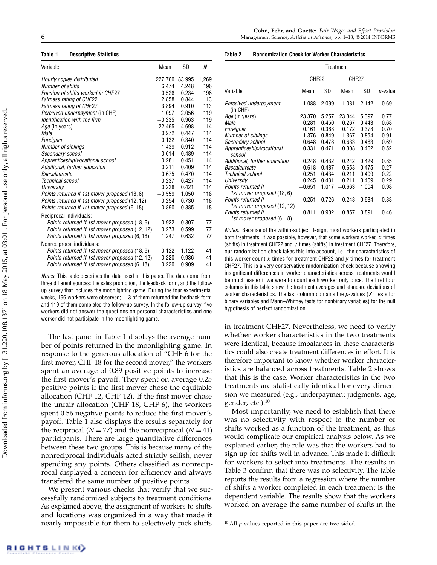| Cohn, Fehr, and Goette: Fair Wages and Effort Provision          |
|------------------------------------------------------------------|
| Management Science, Articles in Advance, pp. 1-18, ©2014 INFORMS |

| Variable                                       | Mean     | SD     | N     |
|------------------------------------------------|----------|--------|-------|
| Hourly copies distributed                      | 227.760  | 83.995 | 1,269 |
| Number of shifts                               | 6.474    | 4.248  | 196   |
| Fraction of shifts worked in CHF27             | 0.526    | 0.234  | 196   |
| <b>Fairness rating of CHF22</b>                | 2.858    | 0.844  | 113   |
| <b>Fairness rating of CHF27</b>                | 3.894    | 0.910  | 113   |
| Perceived underpayment (in CHF)                | 1.097    | 2.056  | 119   |
| Identification with the firm                   | $-0.235$ | 0.963  | 119   |
| Age (in years)                                 | 22.465   | 4.698  | 114   |
| Male                                           | 0.272    | 0.447  | 114   |
| Foreigner                                      | 0.132    | 0.340  | 114   |
| Number of siblings                             | 1.439    | 0.912  | 114   |
| Secondary school                               | 0.614    | 0.489  | 114   |
| Apprenticeship/vocational school               | 0.281    | 0.451  | 114   |
| Additional, further education                  | 0.211    | 0.409  | 114   |
| Baccalaureate                                  | 0.675    | 0.470  | 114   |
| Technical school                               | 0.237    | 0.427  | 114   |
| University                                     | 0.228    | 0.421  | 114   |
| Points returned if 1st mover proposed (18, 6)  | $-0.559$ | 1.050  | 118   |
| Points returned if 1st mover proposed (12, 12) | 0.254    | 0.730  | 118   |
| Points returned if 1st mover proposed (6, 18)  | 0.890    | 0.885  | 118   |
| Reciprocal individuals:                        |          |        |       |
| Points returned if 1st mover proposed (18, 6)  | $-0.922$ | 0.807  | 77    |
| Points returned if 1st mover proposed (12, 12) | 0.273    | 0.599  | 77    |
| Points returned if 1st mover proposed (6, 18)  | 1.247    | 0.632  | 77    |
| Nonreciprocal individuals:                     |          |        |       |
| Points returned if 1st mover proposed (18, 6)  | 0.122    | 1.122  | 41    |
| Points returned if 1st mover proposed (12, 12) | 0.220    | 0.936  | 41    |
| Points returned if 1st mover proposed (6, 18)  | 0.220    | 0.909  | 41    |

Notes. This table describes the data used in this paper. The data come from three different sources: the sales promotion, the feedback form, and the followup survey that includes the moonlighting game. During the four experimental weeks, 196 workers were observed; 113 of them returned the feedback form and 119 of them completed the follow-up survey. In the follow-up survey, five workers did not answer the questions on personal characteristics and one worker did not participate in the moonlighting game.

The last panel in Table 1 displays the average number of points returned in the moonlighting game. In response to the generous allocation of "CHF 6 for the first mover, CHF 18 for the second mover," the workers spent an average of 0.89 positive points to increase the first mover's payoff. They spent on average 0.25 positive points if the first mover chose the equitable allocation (CHF 12, CHF 12). If the first mover chose the unfair allocation (CHF 18, CHF 6), the workers spent 0.56 negative points to reduce the first mover's payoff. Table 1 also displays the results separately for the reciprocal ( $N = 77$ ) and the nonreciprocal ( $N = 41$ ) participants. There are large quantitative differences between these two groups. This is because many of the nonreciprocal individuals acted strictly selfish, never spending any points. Others classified as nonreciprocal displayed a concern for efficiency and always transfered the same number of positive points.

We present various checks that verify that we successfully randomized subjects to treatment conditions. As explained above, the assignment of workers to shifts and locations was organized in a way that made it nearly impossible for them to selectively pick shifts

#### Table 2 Randomization Check for Worker Characteristics

|                                                   |          |       | Treatment |       |                 |
|---------------------------------------------------|----------|-------|-----------|-------|-----------------|
|                                                   | CHF22    |       | CHF27     |       |                 |
| Variable                                          | Mean     | SD    | Mean      | SD    | <i>p</i> -value |
| Perceived underpayment<br>(in CHF)                | 1.088    | 2.099 | 1.081     | 2.142 | 0.69            |
| Age (in years)                                    | 23.370   | 5.257 | 23.344    | 5.397 | 0.77            |
| Male                                              | 0.281    | 0.450 | 0.267     | 0.443 | 0.68            |
| Foreigner                                         | 0.161    | 0.368 | 0.172     | 0.378 | 0.70            |
| <b>Number of siblings</b>                         | 1.376    | 0.849 | 1.367     | 0.854 | 0.91            |
| Secondary school                                  | 0.648    | 0.478 | 0.633     | 0.483 | 0.69            |
| Apprenticeship/vocational<br>school               | 0.331    | 0.471 | 0.308     | 0.462 | 0.52            |
| Additional, further education                     | 0.248    | 0.432 | 0.242     | 0.429 | 0.85            |
| Baccalaureate                                     | 0.618    | 0.487 | 0.658     | 0.475 | 0.27            |
| <b>Technical school</b>                           | 0.251    | 0.434 | 0.211     | 0.409 | 0.22            |
| University                                        | 0.245    | 0.431 | 0.211     | 0.409 | 0.29            |
| Points returned if<br>1st mover proposed (18, 6)  | $-0.651$ | 1.017 | $-0.663$  | 1.004 | 0.98            |
| Points returned if<br>1st mover proposed (12, 12) | 0.251    | 0.726 | 0.248     | 0.684 | 0.88            |
| Points returned if<br>1st mover proposed (6, 18)  | 0.811    | 0.902 | 0.857     | 0.891 | 0.46            |

Notes. Because of the within-subject design, most workers participated in both treatments. It was possible, however, that some workers worked  $x$  times (shifts) in treatment CHF22 and  $y$  times (shifts) in treatment CHF27. Therefore, our randomization check takes this into account, i.e., the characteristics of this worker count  $x$  times for treatment CHF22 and  $y$  times for treatment CHF27. This is a very conservative randomization check because showing insignificant differences in worker characteristics across treatments would be much easier if we were to count each worker only once. The first four columns in this table show the treatment averages and standard deviations of worker characteristics. The last column contains the  $p$ -values ( $X^2$  tests for binary variables and Mann–Whitney tests for nonbinary variables) for the null hypothesis of perfect randomization.

in treatment CHF27. Nevertheless, we need to verify whether worker characteristics in the two treatments were identical, because imbalances in these characteristics could also create treatment differences in effort. It is therefore important to know whether worker characteristics are balanced across treatments. Table 2 shows that this is the case. Worker characteristics in the two treatments are statistically identical for every dimension we measured (e.g., underpayment judgments, age, gender, etc.).<sup>10</sup>

Most importantly, we need to establish that there was no selectivity with respect to the number of shifts worked as a function of the treatment, as this would complicate our empirical analysis below. As we explained earlier, the rule was that the workers had to sign up for shifts well in advance. This made it difficult for workers to select into treatments. The results in Table 3 confirm that there was no selectivity. The table reports the results from a regression where the number of shifts a worker completed in each treatment is the dependent variable. The results show that the workers worked on average the same number of shifts in the

<sup>&</sup>lt;sup>10</sup> All *p*-values reported in this paper are two sided.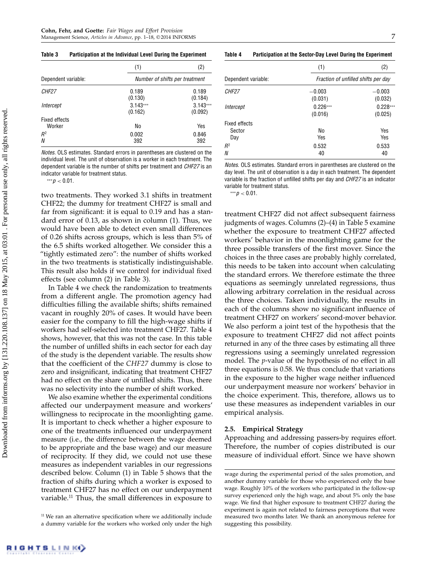Table 3 Participation at the Individual Level During the Experiment

|                     | (1)                            | (2)                   |  |
|---------------------|--------------------------------|-----------------------|--|
| Dependent variable: | Number of shifts per treatment |                       |  |
| CHF27               | 0.189<br>(0.130)               | 0.189<br>(0.184)      |  |
| Intercept           | $3.143***$<br>(0.162)          | $3.143***$<br>(0.092) |  |
| Fixed effects       |                                |                       |  |
| Worker              | No                             | Yes                   |  |
| $R^2$<br>N          | 0.002<br>392                   | 0.846<br>392          |  |

Notes. OLS estimates. Standard errors in parentheses are clustered on the individual level. The unit of observation is a worker in each treatment. The dependent variable is the number of shifts per treatment and CHF27 is an indicator variable for treatment status.

 $***p < 0.01$ .

two treatments. They worked 3.1 shifts in treatment CHF22; the dummy for treatment CHF27 is small and far from significant: it is equal to 0.19 and has a standard error of 0.13, as shown in column (1). Thus, we would have been able to detect even small differences of 0.26 shifts across groups, which is less than 5% of the 6.5 shifts worked altogether. We consider this a "tightly estimated zero": the number of shifts worked in the two treatments is statistically indistinguishable. This result also holds if we control for individual fixed effects (see column (2) in Table 3).

In Table 4 we check the randomization to treatments from a different angle. The promotion agency had difficulties filling the available shifts; shifts remained vacant in roughly 20% of cases. It would have been easier for the company to fill the high-wage shifts if workers had self-selected into treatment CHF27. Table 4 shows, however, that this was not the case. In this table the number of unfilled shifts in each sector for each day of the study is the dependent variable. The results show that the coefficient of the CHF27 dummy is close to zero and insignificant, indicating that treatment CHF27 had no effect on the share of unfilled shifts. Thus, there was no selectivity into the number of shift worked.

We also examine whether the experimental conditions affected our underpayment measure and workers' willingness to reciprocate in the moonlighting game. It is important to check whether a higher exposure to one of the treatments influenced our underpayment measure (i.e., the difference between the wage deemed to be appropriate and the base wage) and our measure of reciprocity. If they did, we could not use these measures as independent variables in our regressions described below. Column (1) in Table 5 shows that the fraction of shifts during which a worker is exposed to treatment CHF27 has no effect on our underpayment variable.<sup>11</sup> Thus, the small differences in exposure to

Table 4 Participation at the Sector-Day Level During the Experiment

|                     | (1)                                 | (2)        |  |
|---------------------|-------------------------------------|------------|--|
| Dependent variable: | Fraction of unfilled shifts per day |            |  |
| CHF27               | $-0.003$                            | $-0.003$   |  |
|                     | (0.031)                             | (0.032)    |  |
| Intercept           | $0.226***$                          | $0.228***$ |  |
|                     | (0.016)                             | (0.025)    |  |
| Fixed effects       |                                     |            |  |
| Sector              | No                                  | Yes        |  |
| Day                 | Yes                                 | Yes        |  |
| $R^2$               | 0.532                               | 0.533      |  |
| N                   | 40                                  | 40         |  |

Notes. OLS estimates. Standard errors in parentheses are clustered on the day level. The unit of observation is a day in each treatment. The dependent variable is the fraction of unfilled shifts per day and CHF27 is an indicator variable for treatment status.

 $***p < 0.01$ .

treatment CHF27 did not affect subsequent fairness judgments of wages. Columns (2)–(4) in Table 5 examine whether the exposure to treatment CHF27 affected workers' behavior in the moonlighting game for the three possible transfers of the first mover. Since the choices in the three cases are probably highly correlated, this needs to be taken into account when calculating the standard errors. We therefore estimate the three equations as seemingly unrelated regressions, thus allowing arbitrary correlation in the residual across the three choices. Taken individually, the results in each of the columns show no significant influence of treatment CHF27 on workers' second-mover behavior. We also perform a joint test of the hypothesis that the exposure to treatment CHF27 did not affect points returned in any of the three cases by estimating all three regressions using a seemingly unrelated regression model. The p-value of the hypothesis of no effect in all three equations is 0.58. We thus conclude that variations in the exposure to the higher wage neither influenced our underpayment measure nor workers' behavior in the choice experiment. This, therefore, allows us to use these measures as independent variables in our empirical analysis.

#### 2.5. Empirical Strategy

Approaching and addressing passers-by requires effort. Therefore, the number of copies distributed is our measure of individual effort. Since we have shown

 $11$  We ran an alternative specification where we additionally include a dummy variable for the workers who worked only under the high

wage during the experimental period of the sales promotion, and another dummy variable for those who experienced only the base wage. Roughly 10% of the workers who participated in the follow-up survey experienced only the high wage, and about 5% only the base wage. We find that higher exposure to treatment CHF27 during the experiment is again not related to fairness perceptions that were measured two months later. We thank an anonymous referee for suggesting this possibility.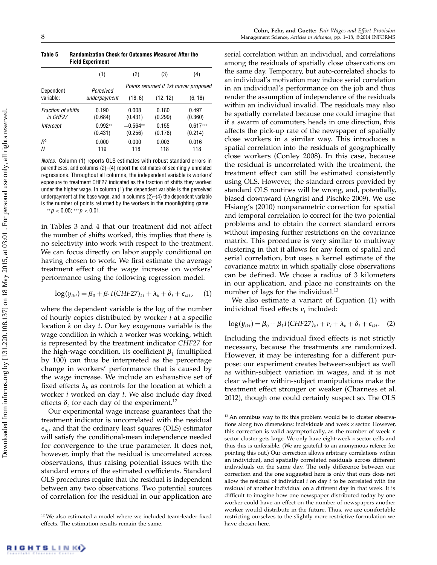|                                       | <b>FIBIU EXPETIMENT</b> |                       |                  |                                       |
|---------------------------------------|-------------------------|-----------------------|------------------|---------------------------------------|
|                                       | (1)                     | (2)                   | (3)              | (4)                                   |
| Dependent                             | Perceived               |                       |                  | Points returned if 1st mover proposed |
| variable:                             | underpayment            | (18, 6)               | (12, 12)         | (6, 18)                               |
| <b>Fraction of shifts</b><br>in CHF27 | 0.190<br>(0.684)        | 0.008<br>(0.431)      | 0.180<br>(0.299) | 0.497<br>(0.360)                      |
| Intercept                             | $0.992**$<br>(0.431)    | $-0.564**$<br>(0.256) | 0.155<br>(0.178) | $0.617***$<br>(0.214)                 |
| $R^2$                                 | 0.000                   | 0.000                 | 0.003            | 0.016                                 |
| N                                     | 119                     | 118                   | 118              | 118                                   |

Table 5 Randomization Check for Outcomes Measured After the Field Experiment

Notes. Column (1) reports OLS estimates with robust standard errors in parentheses, and columns (2)–(4) report the estimates of seemingly unrelated regressions. Throughout all columns, the independent variable is workers' exposure to treatment CHF27 indicated as the fraction of shifts they worked under the higher wage. In column (1) the dependent variable is the perceived underpayment at the base wage, and in columns (2)–(4) the dependent variable is the number of points returned by the workers in the moonlighting game.

\*\* $p < 0.05$ ; \*\*\* $p < 0.01$ .

in Tables 3 and 4 that our treatment did not affect the number of shifts worked, this implies that there is no selectivity into work with respect to the treatment. We can focus directly on labor supply conditional on having chosen to work. We first estimate the average treatment effect of the wage increase on workers' performance using the following regression model:

$$
\log(y_{ikt}) = \beta_0 + \beta_1 I(CHF27)_{kt} + \lambda_k + \delta_t + \epsilon_{ikt}, \quad (1)
$$

where the dependent variable is the log of the number of hourly copies distributed by worker  $i$  at a specific location  $k$  on day  $t$ . Our key exogenous variable is the wage condition in which a worker was working, which is represented by the treatment indicator CHF27 for the high-wage condition. Its coefficient  $\beta_1$  (multiplied by 100) can thus be interpreted as the percentage change in workers' performance that is caused by the wage increase. We include an exhaustive set of fixed effects  $\lambda_k$  as controls for the location at which a worker  $i$  worked on day  $t$ . We also include day fixed effects  $\delta_t$  for each day of the experiment.<sup>12</sup>

Our experimental wage increase guarantees that the treatment indicator is uncorrelated with the residual  $\epsilon_{ikt}$  and that the ordinary least squares (OLS) estimator will satisfy the conditional-mean independence needed for convergence to the true parameter. It does not, however, imply that the residual is uncorrelated across observations, thus raising potential issues with the standard errors of the estimated coefficients. Standard OLS procedures require that the residual is independent between any two observations. Two potential sources of correlation for the residual in our application are serial correlation within an individual, and correlations among the residuals of spatially close observations on the same day. Temporary, but auto-correlated shocks to an individual's motivation may induce serial correlation in an individual's performance on the job and thus render the assumption of independence of the residuals within an individual invalid. The residuals may also be spatially correlated because one could imagine that if a swarm of commuters heads in one direction, this affects the pick-up rate of the newspaper of spatially close workers in a similar way. This introduces a spatial correlation into the residuals of geographically close workers (Conley 2008). In this case, because the residual is uncorrelated with the treatment, the treatment effect can still be estimated consistently using OLS. However, the standard errors provided by standard OLS routines will be wrong, and, potentially, biased downward (Angrist and Pischke 2009). We use Hsiang's (2010) nonparametric correction for spatial and temporal correlation to correct for the two potential problems and to obtain the correct standard errors without imposing further restrictions on the covariance matrix. This procedure is very similar to multiway clustering in that it allows for any form of spatial and serial correlation, but uses a kernel estimate of the covariance matrix in which spatially close observations can be defined. We chose a radius of 3 kilometers in our application, and place no constraints on the number of lags for the individual.<sup>13</sup>

We also estimate a variant of Equation (1) with individual fixed effects  $\nu_i$  included:

$$
\log(y_{ikt}) = \beta_0 + \beta_1 I(CHF27)_{kt} + \nu_i + \lambda_k + \delta_t + \epsilon_{ikt}.
$$
 (2)

Including the individual fixed effects is not strictly necessary, because the treatments are randomized. However, it may be interesting for a different purpose: our experiment creates between-subject as well as within-subject variation in wages, and it is not clear whether within-subject manipulations make the treatment effect stronger or weaker (Charness et al. 2012), though one could certainly suspect so. The OLS

<sup>&</sup>lt;sup>12</sup> We also estimated a model where we included team-leader fixed effects. The estimation results remain the same.

<sup>&</sup>lt;sup>13</sup> An omnibus way to fix this problem would be to cluster observations along two dimensions: individuals and week × sector. However, this correction is valid asymptotically, as the number of week  $x$ sector cluster gets large. We only have eight-week  $\times$  sector cells and thus this is unfeasible. (We are grateful to an anonymous referee for pointing this out.) Our correction allows arbitrary correlations within an individual, and spatially correlated residuals across different individuals on the same day. The only difference between our correction and the one suggested here is only that ours does not allow the residual of individual  $i$  on day  $t$  to be correlated with the residual of another individual on a different day in that week. It is difficult to imagine how one newspaper distributed today by one worker could have an effect on the number of newspapers another worker would distribute in the future. Thus, we are comfortable restricting ourselves to the slightly more restrictive formulation we have chosen here.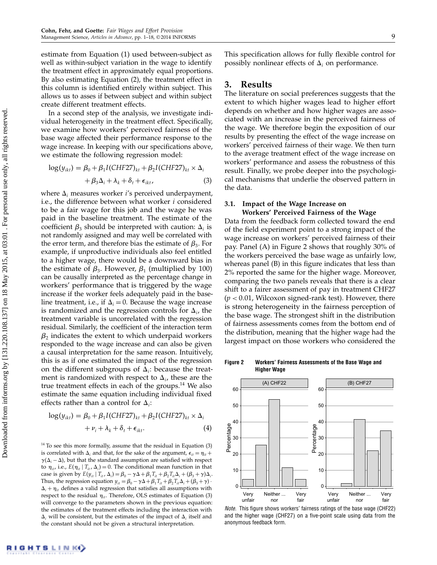estimate from Equation (1) used between-subject as well as within-subject variation in the wage to identify the treatment effect in approximately equal proportions. By also estimating Equation (2), the treatment effect in this column is identified entirely within subject. This allows us to asses if between subject and within subject create different treatment effects.

In a second step of the analysis, we investigate individual heterogeneity in the treatment effect. Specifically, we examine how workers' perceived fairness of the base wage affected their performance response to the wage increase. In keeping with our specifications above, we estimate the following regression model:

$$
\log(y_{ikt}) = \beta_0 + \beta_1 I(CHF27)_{kt} + \beta_2 I(CHF27)_{kt} \times \Delta_i
$$
  
+  $\beta_3 \Delta_i + \lambda_k + \delta_t + \epsilon_{ikt}$ , (3)

where  $\Delta_i$  measures worker *i's* perceived underpayment, i.e., the difference between what worker i considered to be a fair wage for this job and the wage he was paid in the baseline treatment. The estimate of the coefficient  $\beta_3$  should be interpreted with caution:  $\Delta_i$  is not randomly assigned and may well be correlated with the error term, and therefore bias the estimate of  $\beta_3$ . For example, if unproductive individuals also feel entitled to a higher wage, there would be a downward bias in the estimate of  $\beta_3$ . However,  $\beta_1$  (multiplied by 100) can be causally interpreted as the percentage change in workers' performance that is triggered by the wage increase if the worker feels adequately paid in the baseline treatment, i.e., if  $\Delta_i = 0$ . Because the wage increase is randomized and the regression controls for  $\Delta_i$ , the treatment variable is uncorrelated with the regression residual. Similarly, the coefficient of the interaction term  $\beta_2$  indicates the extent to which underpaid workers responded to the wage increase and can also be given a causal interpretation for the same reason. Intuitively, this is as if one estimated the impact of the regression on the different subgroups of  $\Delta_i$ : because the treatment is randomized with respect to  $\Delta_i$ , these are the true treatment effects in each of the groups. $14$  We also estimate the same equation including individual fixed effects rather than a control for  $\Delta_i$ :

$$
\log(y_{ikt}) = \beta_0 + \beta_1 I(CHF27)_{kt} + \beta_2 I(CHF27)_{kt} \times \Delta_i
$$
  
+  $\nu_i + \lambda_k + \delta_t + \epsilon_{ikt}$ . (4)

 $14$  To see this more formally, assume that the residual in Equation (3) is correlated with  $\Delta_i$  and that, for the sake of the argument,  $\epsilon_{it} = \eta_{it} +$  $\gamma(\Delta_i - \Delta)$ , but that the standard assumption are satisfied with respect to  $\eta_{it}$ , i.e.,  $E(\eta_{it} | T_{it}, \Delta_i) = 0$ . The conditional mean function in that case is given by  $E(y_{it} | T_{it}, \Delta_i) = \beta_0 - \gamma \Delta + \beta_1 T_{it} + \beta_2 T_{it} \Delta_i + (\beta_3 + \gamma) \Delta_i$ . Thus, the regression equation  $y_{it} = \beta_0 - \gamma \Delta + \beta_1 T_{it} + \beta_2 T_{it} \Delta_i + (\beta_3 + \gamma)$ .  $\Delta_i + \eta_{it}$  defines a valid regression that satisfies all assumptions with respect to the residual  $\eta_{it}$ . Therefore, OLS estimates of Equation (3) will converge to the parameters shown in the previous equation: the estimates of the treatment effects including the interaction with  $\Delta_i$  will be consistent, but the estimates of the impact of  $\Delta_i$  itself and the constant should not be given a structural interpretation.

This specification allows for fully flexible control for possibly nonlinear effects of  $\Delta_i$  on performance.

## 3. Results

The literature on social preferences suggests that the extent to which higher wages lead to higher effort depends on whether and how higher wages are associated with an increase in the perceived fairness of the wage. We therefore begin the exposition of our results by presenting the effect of the wage increase on workers' perceived fairness of their wage. We then turn to the average treatment effect of the wage increase on workers' performance and assess the robustness of this result. Finally, we probe deeper into the psychological mechanisms that underlie the observed pattern in the data.

## 3.1. Impact of the Wage Increase on Workers' Perceived Fairness of the Wage

Data from the feedback form collected toward the end of the field experiment point to a strong impact of the wage increase on workers' perceived fairness of their pay. Panel (A) in Figure 2 shows that roughly 30% of the workers perceived the base wage as unfairly low, whereas panel (B) in this figure indicates that less than 2% reported the same for the higher wage. Moreover, comparing the two panels reveals that there is a clear shift to a fairer assessment of pay in treatment CHF27  $(p < 0.01$ , Wilcoxon signed-rank test). However, there is strong heterogeneity in the fairness perception of the base wage. The strongest shift in the distribution of fairness assessments comes from the bottom end of the distribution, meaning that the higher wage had the largest impact on those workers who considered the

Figure 2 Workers' Fairness Assessments of the Base Wage and Higher Wage



Note. This figure shows workers' fairness ratings of the base wage (CHF22) and the higher wage (CHF27) on a five-point scale using data from the anonymous feedback form.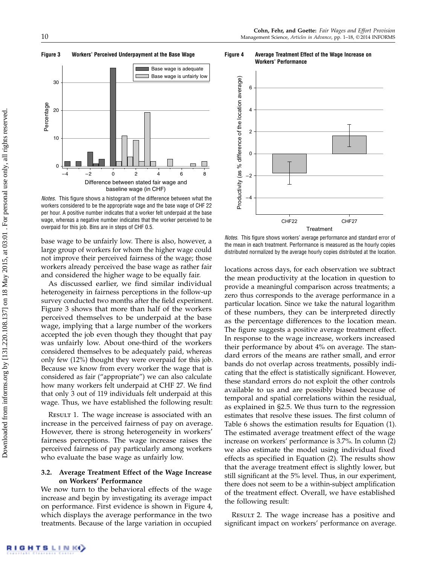Figure 3 Workers' Perceived Underpayment at the Base Wage



Notes. This figure shows a histogram of the difference between what the workers considered to be the appropriate wage and the base wage of CHF 22 per hour. A positive number indicates that a worker felt underpaid at the base wage, whereas a negative number indicates that the worker perceived to be overpaid for this job. Bins are in steps of CHF 0.5.

base wage to be unfairly low. There is also, however, a large group of workers for whom the higher wage could not improve their perceived fairness of the wage; those workers already perceived the base wage as rather fair and considered the higher wage to be equally fair.

As discussed earlier, we find similar individual heterogeneity in fairness perceptions in the follow-up survey conducted two months after the field experiment. Figure 3 shows that more than half of the workers perceived themselves to be underpaid at the base wage, implying that a large number of the workers accepted the job even though they thought that pay was unfairly low. About one-third of the workers considered themselves to be adequately paid, whereas only few (12%) thought they were overpaid for this job. Because we know from every worker the wage that is considered as fair ("appropriate") we can also calculate how many workers felt underpaid at CHF 27. We find that only 3 out of 119 individuals felt underpaid at this wage. Thus, we have established the following result:

Result 1. The wage increase is associated with an increase in the perceived fairness of pay on average. However, there is strong heterogeneity in workers' fairness perceptions. The wage increase raises the perceived fairness of pay particularly among workers who evaluate the base wage as unfairly low.

#### 3.2. Average Treatment Effect of the Wage Increase on Workers' Performance

We now turn to the behavioral effects of the wage increase and begin by investigating its average impact on performance. First evidence is shown in Figure 4, which displays the average performance in the two treatments. Because of the large variation in occupied

Figure 4 Average Treatment Effect of the Wage Increase on Workers' Performance



Notes. This figure shows workers' average performance and standard error of the mean in each treatment. Performance is measured as the hourly copies distributed normalized by the average hourly copies distributed at the location.

locations across days, for each observation we subtract the mean productivity at the location in question to provide a meaningful comparison across treatments; a zero thus corresponds to the average performance in a particular location. Since we take the natural logarithm of these numbers, they can be interpreted directly as the percentage differences to the location mean. The figure suggests a positive average treatment effect. In response to the wage increase, workers increased their performance by about 4% on average. The standard errors of the means are rather small, and error bands do not overlap across treatments, possibly indicating that the effect is statistically significant. However, these standard errors do not exploit the other controls available to us and are possibly biased because of temporal and spatial correlations within the residual, as explained in §2.5. We thus turn to the regression estimates that resolve these issues. The first column of Table 6 shows the estimation results for Equation (1). The estimated average treatment effect of the wage increase on workers' performance is 3.7%. In column (2) we also estimate the model using individual fixed effects as specified in Equation (2). The results show that the average treatment effect is slightly lower, but still significant at the 5% level. Thus, in our experiment, there does not seem to be a within-subject amplification of the treatment effect. Overall, we have established the following result:

Result 2. The wage increase has a positive and significant impact on workers' performance on average.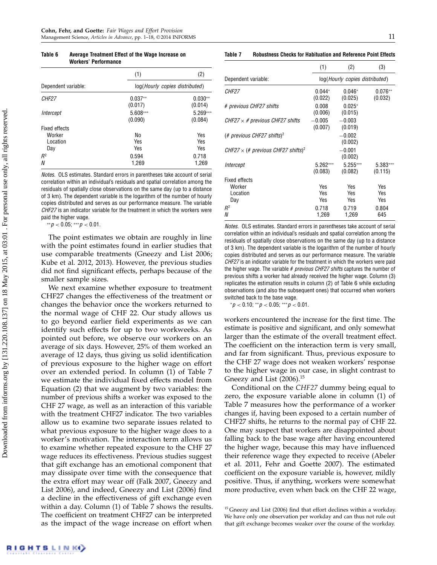Table 6 Average Treatment Effect of the Wage Increase on Workers' Performance

|                     | (1)                            | (2)                  |  |
|---------------------|--------------------------------|----------------------|--|
| Dependent variable: | log(Hourly copies distributed) |                      |  |
| CHF27               | $0.037**$<br>(0.017)           | $0.030**$<br>(0.014) |  |
| Intercept           | $5.608***$<br>(0.090)          | 5.269***<br>(0.084)  |  |
| Fixed effects       |                                |                      |  |
| Worker              | No                             | Yes                  |  |
| Location            | Yes                            | Yes                  |  |
| Day                 | Yes                            | Yes                  |  |
| $R^2$               | 0.594                          | 0.718                |  |
| Ν                   | 1.269                          | 1,269                |  |

Notes. OLS estimates. Standard errors in parentheses take account of serial correlation within an individual's residuals and spatial correlation among the residuals of spatially close observations on the same day (up to a distance of 3 km). The dependent variable is the logarithm of the number of hourly copies distributed and serves as our performance measure. The variable CHF27 is an indicator variable for the treatment in which the workers were paid the higher wage.

 $^{**}p < 0.05;$   $^{***}p < 0.01$  .

The point estimates we obtain are roughly in line with the point estimates found in earlier studies that use comparable treatments (Gneezy and List 2006; Kube et al. 2012, 2013). However, the previous studies did not find significant effects, perhaps because of the smaller sample sizes.

We next examine whether exposure to treatment CHF27 changes the effectiveness of the treatment or changes the behavior once the workers returned to the normal wage of CHF 22. Our study allows us to go beyond earlier field experiments as we can identify such effects for up to two workweeks. As pointed out before, we observe our workers on an average of six days. However, 25% of them worked an average of 12 days, thus giving us solid identification of previous exposure to the higher wage on effort over an extended period. In column (1) of Table 7 we estimate the individual fixed effects model from Equation (2) that we augment by two variables: the number of previous shifts a worker was exposed to the CHF 27 wage, as well as an interaction of this variable with the treatment CHF27 indicator. The two variables allow us to examine two separate issues related to what previous exposure to the higher wage does to a worker's motivation. The interaction term allows us to examine whether repeated exposure to the CHF 27 wage reduces its effectiveness. Previous studies suggest that gift exchange has an emotional component that may dissipate over time with the consequence that the extra effort may wear off (Falk 2007, Gneezy and List 2006), and indeed, Gneezy and List (2006) find a decline in the effectiveness of gift exchange even within a day. Column (1) of Table 7 shows the results. The coefficient on treatment CHF27 can be interpreted as the impact of the wage increase on effort when

Table 7 Robustness Checks for Habituation and Reference Point Effects

|                                                       | (1)                   | (2)                            | (3)                  |
|-------------------------------------------------------|-----------------------|--------------------------------|----------------------|
| Dependent variable:                                   |                       | log(Hourly copies distributed) |                      |
| <i>CHF27</i>                                          | $0.044*$<br>(0.022)   | $0.046*$<br>(0.025)            | $0.076**$<br>(0.032) |
| # previous CHF27 shifts                               | 0.008<br>(0.006)      | $0.025*$<br>(0.015)            |                      |
| CHF27 $\times$ # previous CHF27 shifts                | $-0.005$<br>(0.007)   | $-0.003$<br>(0.019)            |                      |
| (# previous CHF27 shifts) <sup>2</sup>                |                       | $-0.002$<br>(0.002)            |                      |
| CHF27 $\times$ (# previous CHF27 shifts) <sup>2</sup> |                       | $-0.001$<br>(0.002)            |                      |
| Intercept                                             | $5.262***$<br>(0.083) | $5.255***$<br>(0.082)          | 5.383***<br>(0.115)  |
| Fixed effects<br>Worker<br>Location<br>Day            | Yes<br>Yes<br>Yes     | Yes<br>Yes<br>Yes              | Yes<br>Yes<br>Yes    |
| $R^2$<br>N                                            | 0.718<br>1,269        | 0.719<br>1,269                 | 0.804<br>645         |

Notes. OLS estimates. Standard errors in parentheses take account of serial correlation within an individual's residuals and spatial correlation among the residuals of spatially close observations on the same day (up to a distance of 3 km). The dependent variable is the logarithm of the number of hourly copies distributed and serves as our performance measure. The variable CHF27 is an indicator variable for the treatment in which the workers were paid the higher wage. The variable  $#$  previous CHF27 shifts captures the number of previous shifts a worker had already received the higher wage. Column (3) replicates the estimation results in column (2) of Table 6 while excluding observations (and also the subsequent ones) that occurred when workers switched back to the base wage.

 ${}^*p < 0.10;$   ${}^{**}p < 0.05;$   ${}^{***}p < 0.01.$ 

workers encountered the increase for the first time. The estimate is positive and significant, and only somewhat larger than the estimate of the overall treatment effect. The coefficient on the interaction term is very small, and far from significant. Thus, previous exposure to the CHF 27 wage does not weaken workers' response to the higher wage in our case, in slight contrast to Gneezy and List  $(2006).^{15}$ 

Conditional on the CHF27 dummy being equal to zero, the exposure variable alone in column (1) of Table 7 measures how the performance of a worker changes if, having been exposed to a certain number of CHF27 shifts, he returns to the normal pay of CHF 22. One may suspect that workers are disappointed about falling back to the base wage after having encountered the higher wage, because this may have influenced their reference wage they expected to receive (Abeler et al. 2011, Fehr and Goette 2007). The estimated coefficient on the exposure variable is, however, mildly positive. Thus, if anything, workers were somewhat more productive, even when back on the CHF 22 wage,

 $15$  Gneezy and List (2006) find that effort declines within a workday. We have only one observation per workday and can thus not rule out that gift exchange becomes weaker over the course of the workday.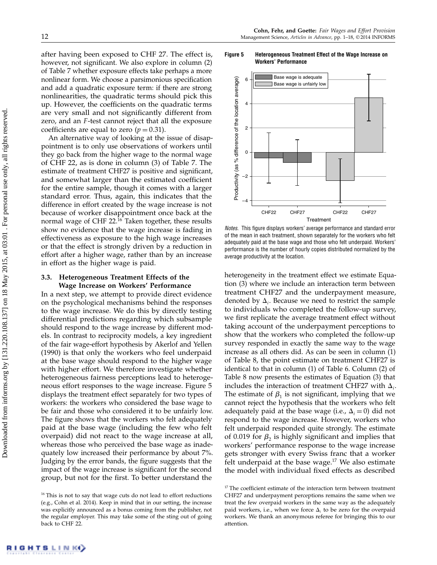after having been exposed to CHF 27. The effect is, however, not significant. We also explore in column (2) of Table 7 whether exposure effects take perhaps a more nonlinear form. We choose a parsimonious specification and add a quadratic exposure term: if there are strong nonlinearities, the quadratic terms should pick this up. However, the coefficients on the quadratic terms are very small and not significantly different from zero, and an F-test cannot reject that all the exposure coefficients are equal to zero ( $p = 0.31$ ).

An alternative way of looking at the issue of disappointment is to only use observations of workers until they go back from the higher wage to the normal wage of CHF 22, as is done in column (3) of Table 7. The estimate of treatment CHF27 is positive and significant, and somewhat larger than the estimated coefficient for the entire sample, though it comes with a larger standard error. Thus, again, this indicates that the difference in effort created by the wage increase is not because of worker disappointment once back at the normal wage of CHF 22.<sup>16</sup> Taken together, these results show no evidence that the wage increase is fading in effectiveness as exposure to the high wage increases or that the effect is strongly driven by a reduction in effort after a higher wage, rather than by an increase in effort as the higher wage is paid.

#### 3.3. Heterogeneous Treatment Effects of the Wage Increase on Workers' Performance

In a next step, we attempt to provide direct evidence on the psychological mechanisms behind the responses to the wage increase. We do this by directly testing differential predictions regarding which subsample should respond to the wage increase by different models. In contrast to reciprocity models, a key ingredient of the fair wage-effort hypothesis by Akerlof and Yellen (1990) is that only the workers who feel underpaid at the base wage should respond to the higher wage with higher effort. We therefore investigate whether heterogeneous fairness perceptions lead to heterogeneous effort responses to the wage increase. Figure 5 displays the treatment effect separately for two types of workers: the workers who considered the base wage to be fair and those who considered it to be unfairly low. The figure shows that the workers who felt adequately paid at the base wage (including the few who felt overpaid) did not react to the wage increase at all, whereas those who perceived the base wage as inadequately low increased their performance by about 7%. Judging by the error bands, the figure suggests that the impact of the wage increase is significant for the second group, but not for the first. To better understand the

Figure 5 Heterogeneous Treatment Effect of the Wage Increase on Workers' Performance



Notes. This figure displays workers' average performance and standard error of the mean in each treatment, shown separately for the workers who felt adequately paid at the base wage and those who felt underpaid. Workers' performance is the number of hourly copies distributed normalized by the average productivity at the location.

heterogeneity in the treatment effect we estimate Equation (3) where we include an interaction term between treatment CHF27 and the underpayment measure, denoted by  $\Delta_i$ . Because we need to restrict the sample to individuals who completed the follow-up survey, we first replicate the average treatment effect without taking account of the underpayment perceptions to show that the workers who completed the follow-up survey responded in exactly the same way to the wage increase as all others did. As can be seen in column (1) of Table 8, the point estimate on treatment CHF27 is identical to that in column (1) of Table 6. Column (2) of Table 8 now presents the estimates of Equation (3) that includes the interaction of treatment CHF27 with  $\Delta_i$ . The estimate of  $\beta_1$  is not significant, implying that we cannot reject the hypothesis that the workers who felt adequately paid at the base wage (i.e.,  $\Delta_i = 0$ ) did not respond to the wage increase. However, workers who felt underpaid responded quite strongly. The estimate of 0.019 for  $\beta_2$  is highly significant and implies that workers' performance response to the wage increase gets stronger with every Swiss franc that a worker felt underpaid at the base wage. $17$  We also estimate the model with individual fixed effects as described

 $16$  This is not to say that wage cuts do not lead to effort reductions (e.g., Cohn et al. 2014). Keep in mind that in our setting, the increase was explicitly announced as a bonus coming from the publisher, not the regular employer. This may take some of the sting out of going back to CHF 22.

<sup>&</sup>lt;sup>17</sup> The coefficient estimate of the interaction term between treatment CHF27 and underpayment perceptions remains the same when we treat the few overpaid workers in the same way as the adequately paid workers, i.e., when we force  $\Delta_i$  to be zero for the overpaid workers. We thank an anonymous referee for bringing this to our attention.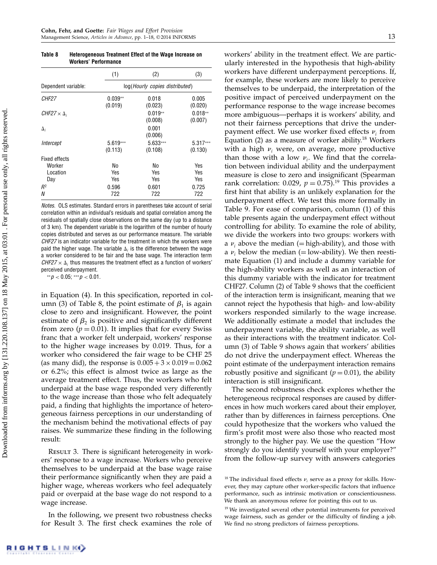Table 8 Heterogeneous Treatment Effect of the Wage Increase on Workers' Performance

|                         | (1)                   | (2)                            | (3)                   |
|-------------------------|-----------------------|--------------------------------|-----------------------|
| Dependent variable:     |                       | log(Hourly copies distributed) |                       |
| <i>CHF27</i>            | $0.039**$<br>(0.019)  | 0.018<br>(0.023)               | 0.005<br>(0.020)      |
| CHF27 $\times$ $\Delta$ |                       | $0.019**$<br>(0.008)           | $0.018**$<br>(0.007)  |
| $\Delta_i$              |                       | 0.001<br>(0.006)               |                       |
| Intercept               | $5.619***$<br>(0.113) | $5.633***$<br>(0.108)          | $5.317***$<br>(0.130) |
| Fixed effects           |                       |                                |                       |
| Worker                  | No                    | No                             | Yes                   |
| Location                | Yes                   | Yes                            | Yes                   |
| Day                     | Yes                   | Yes                            | Yes                   |
| $R^2$                   | 0.596                 | 0.601                          | 0.725                 |
| N                       | 722                   | 722                            | 722                   |

Notes. OLS estimates. Standard errors in parentheses take account of serial correlation within an individual's residuals and spatial correlation among the residuals of spatially close observations on the same day (up to a distance of 3 km). The dependent variable is the logarithm of the number of hourly copies distributed and serves as our performance measure. The variable CHF27 is an indicator variable for the treatment in which the workers were paid the higher wage. The variable  $\Delta_i$  is the difference between the wage a worker considered to be fair and the base wage. The interaction term  $CHF27 \times \Delta_i$  thus measures the treatment effect as a function of workers' perceived underpayment.

\*\* $p < 0.05$ ; \*\*\* $p < 0.01$ .

in Equation (4). In this specification, reported in column (3) of Table 8, the point estimate of  $\beta_1$  is again close to zero and insignificant. However, the point estimate of  $\beta_2$  is positive and significantly different from zero ( $p = 0.01$ ). It implies that for every Swiss franc that a worker felt underpaid, workers' response to the higher wage increases by 0.019. Thus, for a worker who considered the fair wage to be CHF 25 (as many did), the response is  $0.005 + 3 \times 0.019 = 0.062$ or 6.2%; this effect is almost twice as large as the average treatment effect. Thus, the workers who felt underpaid at the base wage responded very differently to the wage increase than those who felt adequately paid, a finding that highlights the importance of heterogeneous fairness perceptions in our understanding of the mechanism behind the motivational effects of pay raises. We summarize these finding in the following result:

Result 3. There is significant heterogeneity in workers' response to a wage increase. Workers who perceive themselves to be underpaid at the base wage raise their performance significantly when they are paid a higher wage, whereas workers who feel adequately paid or overpaid at the base wage do not respond to a wage increase.

In the following, we present two robustness checks for Result 3. The first check examines the role of workers' ability in the treatment effect. We are particularly interested in the hypothesis that high-ability workers have different underpayment perceptions. If, for example, these workers are more likely to perceive themselves to be underpaid, the interpretation of the positive impact of perceived underpayment on the performance response to the wage increase becomes more ambiguous—perhaps it is workers' ability, and not their fairness perceptions that drive the underpayment effect. We use worker fixed effects  $v_i$  from Equation (2) as a measure of worker ability.<sup>18</sup> Workers with a high  $\nu_i$  were, on average, more productive than those with a low  $\nu_i$ . We find that the correlation between individual ability and the underpayment measure is close to zero and insignificant (Spearman rank correlation: 0.029,  $p = 0.75$ .<sup>19</sup> This provides a first hint that ability is an unlikely explanation for the underpayment effect. We test this more formally in Table 9. For ease of comparison, column (1) of this table presents again the underpayment effect without controlling for ability. To examine the role of ability, we divide the workers into two groups: workers with a  $\nu_i$  above the median (= high-ability), and those with a  $\nu_i$  below the median (= low-ability). We then reestimate Equation (1) and include a dummy variable for the high-ability workers as well as an interaction of this dummy variable with the indicator for treatment CHF27. Column (2) of Table 9 shows that the coefficient of the interaction term is insignificant, meaning that we cannot reject the hypothesis that high- and low-ability workers responded similarly to the wage increase. We additionally estimate a model that includes the underpayment variable, the ability variable, as well as their interactions with the treatment indicator. Column (3) of Table 9 shows again that workers' abilities do not drive the underpayment effect. Whereas the point estimate of the underpayment interaction remains robustly positive and significant ( $p = 0.01$ ), the ability interaction is still insignificant.

The second robustness check explores whether the heterogeneous reciprocal responses are caused by differences in how much workers cared about their employer, rather than by differences in fairness perceptions. One could hypothesize that the workers who valued the firm's profit most were also those who reacted most strongly to the higher pay. We use the question "How strongly do you identify yourself with your employer?" from the follow-up survey with answers categories

<sup>&</sup>lt;sup>18</sup> The individual fixed effects  $\nu_i$  serve as a proxy for skills. However, they may capture other worker-specific factors that influence performance, such as intrinsic motivation or conscientiousness. We thank an anonymous referee for pointing this out to us.

<sup>&</sup>lt;sup>19</sup> We investigated several other potential instruments for perceived wage fairness, such as gender or the difficulty of finding a job. We find no strong predictors of fairness perceptions.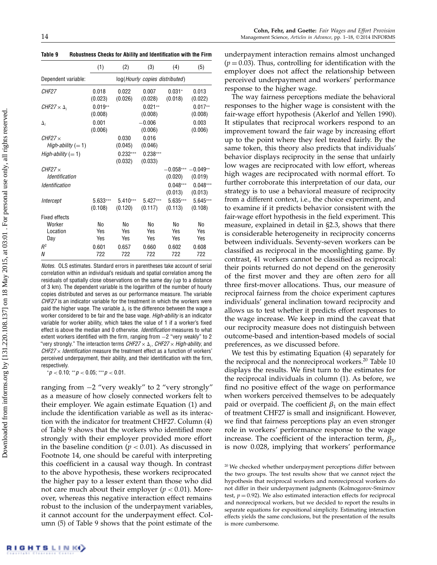Table 9 Robustness Checks for Ability and Identification with the Firm

|                                                       | (1)                   | (2)                   | (3)                            | (4)                    | (5)                   |
|-------------------------------------------------------|-----------------------|-----------------------|--------------------------------|------------------------|-----------------------|
| Dependent variable:                                   |                       |                       | log(Hourly copies distributed) |                        |                       |
| <i>CHF27</i>                                          | 0.018<br>(0.023)      | 0.022<br>(0.026)      | 0.007<br>(0.028)               | $0.031*$<br>(0.018)    | 0.013<br>(0.022)      |
| CHF27 $\times$ $\Delta$                               | $0.019**$<br>(0.008)  |                       | $0.021**$<br>(0.008)           |                        | $0.017**$<br>(0.008)  |
| $\Delta_i$                                            | 0.001<br>(0.006)      |                       | $-0.006$<br>(0.006)            |                        | 0.003<br>(0.006)      |
| $CHF27 \times$<br>High-ability $(=1)$                 |                       | 0.030<br>(0.045)      | 0.016<br>(0.046)               |                        |                       |
| High-ability $(=1)$                                   |                       | $0.232***$<br>(0.032) | $0.238***$<br>(0.033)          |                        |                       |
| $CHF27 \times$<br><i><u><b>Identification</b></u></i> |                       |                       |                                | $-0.058***$<br>(0.020) | $0.049**$<br>(0.019)  |
| Identification                                        |                       |                       |                                | $0.048***$<br>(0.013)  | $0.048***$<br>(0.013) |
| Intercept                                             | $5.633***$<br>(0.108) | $5.410***$<br>(0.120) | $5.427***$<br>(0.117)          | 5.635***<br>(0.113)    | 5.645***<br>(0.108)   |
| <b>Fixed effects</b>                                  |                       |                       |                                |                        |                       |
| Worker                                                | No                    | No                    | No                             | No                     | No                    |
| Location                                              | Yes                   | Yes                   | Yes                            | Yes                    | Yes                   |
| Day                                                   | Yes                   | Yes                   | Yes                            | Yes                    | Yes                   |
| $R^2$                                                 | 0.601                 | 0.657                 | 0.660                          | 0.602                  | 0.608                 |
| N                                                     | 722                   | 722                   | 722                            | 722                    | 722                   |

Notes. OLS estimates. Standard errors in parentheses take account of serial correlation within an individual's residuals and spatial correlation among the residuals of spatially close observations on the same day (up to a distance of 3 km). The dependent variable is the logarithm of the number of hourly copies distributed and serves as our performance measure. The variable CHF27 is an indicator variable for the treatment in which the workers were paid the higher wage. The variable  $\Delta_i$  is the difference between the wage a worker considered to be fair and the base wage. High-ability is an indicator variable for worker ability, which takes the value of 1 if a worker's fixed effect is above the median and 0 otherwise. *Identification* measures to what extent workers identified with the firm, ranging from -2 "very weakly" to 2 "very strongly." The interaction terms  $\mathit{CHF27}\times \Delta_i, \, \mathit{CHF27}\times \mathit{High-ability},$  and  $CHF27 \times Identification$  measure the treatment effect as a function of workers' perceived underpayment, their ability, and their identification with the firm, respectively.

 ${}^*p < 0.10;$   ${}^{**}p < 0.05;$   ${}^{***}p < 0.01.$ 

ranging from −2 "very weakly" to 2 "very strongly" as a measure of how closely connected workers felt to their employer. We again estimate Equation (1) and include the identification variable as well as its interaction with the indicator for treatment CHF27. Column (4) of Table 9 shows that the workers who identified more strongly with their employer provided more effort in the baseline condition ( $p < 0.01$ ). As discussed in Footnote 14, one should be careful with interpreting this coefficient in a causal way though. In contrast to the above hypothesis, these workers reciprocated the higher pay to a lesser extent than those who did not care much about their employer ( $p < 0.01$ ). Moreover, whereas this negative interaction effect remains robust to the inclusion of the underpayment variables, it cannot account for the underpayment effect. Column (5) of Table 9 shows that the point estimate of the underpayment interaction remains almost unchanged  $(p = 0.03)$ . Thus, controlling for identification with the employer does not affect the relationship between perceived underpayment and workers' performance response to the higher wage.

The way fairness perceptions mediate the behavioral responses to the higher wage is consistent with the fair-wage effort hypothesis (Akerlof and Yellen 1990). It stipulates that reciprocal workers respond to an improvement toward the fair wage by increasing effort up to the point where they feel treated fairly. By the same token, this theory also predicts that individuals' behavior displays reciprocity in the sense that unfairly low wages are reciprocated with low effort, whereas high wages are reciprocated with normal effort. To further corroborate this interpretation of our data, our strategy is to use a behavioral measure of reciprocity from a different context, i.e., the choice experiment, and to examine if it predicts behavior consistent with the fair-wage effort hypothesis in the field experiment. This measure, explained in detail in §2.3, shows that there is considerable heterogeneity in reciprocity concerns between individuals. Seventy-seven workers can be classified as reciprocal in the moonlighting game. By contrast, 41 workers cannot be classified as reciprocal: their points returned do not depend on the generosity of the first mover and they are often zero for all three first-mover allocations. Thus, our measure of reciprocal fairness from the choice experiment captures individuals' general inclination toward reciprocity and allows us to test whether it predicts effort responses to the wage increase. We keep in mind the caveat that our reciprocity measure does not distinguish between outcome-based and intention-based models of social preferences, as we discussed before.

We test this by estimating Equation (4) separately for the reciprocal and the nonreciprocal workers.<sup>20</sup> Table 10 displays the results. We first turn to the estimates for the reciprocal individuals in column (1). As before, we find no positive effect of the wage on performance when workers perceived themselves to be adequately paid or overpaid. The coefficient  $\beta_1$  on the main effect of treatment CHF27 is small and insignificant. However, we find that fairness perceptions play an even stronger role in workers' performance response to the wage increase. The coefficient of the interaction term,  $\beta_2$ , is now 0.028, implying that workers' performance

 $20$  We checked whether underpayment perceptions differ between the two groups. The test results show that we cannot reject the hypothesis that reciprocal workers and nonreciprocal workers do not differ in their underpayment judgments (Kolmogorov-Smirnov test,  $p = 0.92$ ). We also estimated interaction effects for reciprocal and nonreciprocal workers, but we decided to report the results in separate equations for expositional simplicity. Estimating interaction effects yields the same conclusions, but the presentation of the results is more cumbersome.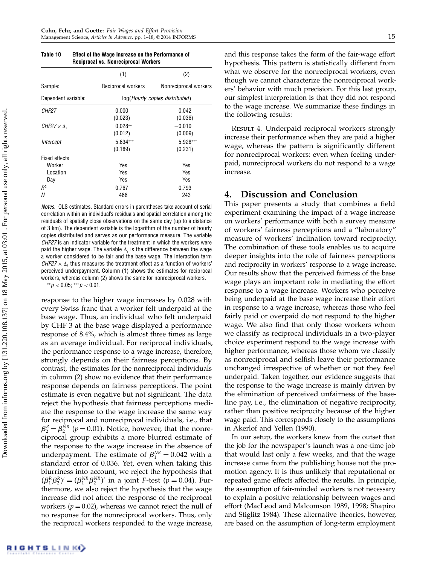| Table 10 | Effect of the Wage Increase on the Performance of |
|----------|---------------------------------------------------|
|          | <b>Reciprocal vs. Nonreciprocal Workers</b>       |

|                         | (1)                   | (2)                            |
|-------------------------|-----------------------|--------------------------------|
| Sample:                 | Reciprocal workers    | Nonreciprocal workers          |
| Dependent variable:     |                       | log(Hourly copies distributed) |
| <i>CHF27</i>            | 0.000<br>(0.023)      | 0.042<br>(0.036)               |
| CHF27 $\times$ $\Delta$ | $0.028**$<br>(0.012)  | $-0.010$<br>(0.009)            |
| Intercept               | $5.634***$<br>(0.189) | 5.928***<br>(0.231)            |
| <b>Fixed effects</b>    |                       |                                |
| Worker                  | Yes                   | Yes                            |
| Location                | Yes                   | Yes                            |
| Day                     | Yes                   | Yes                            |
| $R^2$                   | 0.767                 | 0.793                          |
| N                       | 466                   | 243                            |

Notes. OLS estimates. Standard errors in parentheses take account of serial correlation within an individual's residuals and spatial correlation among the residuals of spatially close observations on the same day (up to a distance of 3 km). The dependent variable is the logarithm of the number of hourly copies distributed and serves as our performance measure. The variable CHF27 is an indicator variable for the treatment in which the workers were paid the higher wage. The variable  $\Delta_i$  is the difference between the wage a worker considered to be fair and the base wage. The interaction term  $CHF27 \times \Delta_i$  thus measures the treatment effect as a function of workers' perceived underpayment. Column (1) shows the estimates for reciprocal workers, whereas column (2) shows the same for nonreciprocal workers.

 $^{**}p < 0.05;$   $^{***}p < 0.01$  .

response to the higher wage increases by 0.028 with every Swiss franc that a worker felt underpaid at the base wage. Thus, an individual who felt underpaid by CHF 3 at the base wage displayed a performance response of 8.4%, which is almost three times as large as an average individual. For reciprocal individuals, the performance response to a wage increase, therefore, strongly depends on their fairness perceptions. By contrast, the estimates for the nonreciprocal individuals in column (2) show no evidence that their performance response depends on fairness perceptions. The point estimate is even negative but not significant. The data reject the hypothesis that fairness perceptions mediate the response to the wage increase the same way for reciprocal and nonreciprocal individuals, i.e., that  $\beta_2^R = \beta_2^{NR}$  ( $p = 0.01$ ). Notice, however, that the nonreciprocal group exhibits a more blurred estimate of the response to the wage increase in the absence of underpayment. The estimate of  $\beta_1^{NR} = 0.042$  with a standard error of 0.036. Yet, even when taking this blurriness into account, we reject the hypothesis that  $(\beta_1^R \beta_2^R)' = (\beta_1^{NR} \beta_2^{NR})'$  in a joint *F*-test (*p* = 0.04). Furthermore, we also reject the hypothesis that the wage increase did not affect the response of the reciprocal workers ( $p = 0.02$ ), whereas we cannot reject the null of no response for the nonreciprocal workers. Thus, only the reciprocal workers responded to the wage increase,

and this response takes the form of the fair-wage effort hypothesis. This pattern is statistically different from what we observe for the nonreciprocal workers, even though we cannot characterize the nonreciprocal workers' behavior with much precision. For this last group, our simplest interpretation is that they did not respond to the wage increase. We summarize these findings in the following results:

Result 4. Underpaid reciprocal workers strongly increase their performance when they are paid a higher wage, whereas the pattern is significantly different for nonreciprocal workers: even when feeling underpaid, nonreciprocal workers do not respond to a wage increase.

## 4. Discussion and Conclusion

This paper presents a study that combines a field experiment examining the impact of a wage increase on workers' performance with both a survey measure of workers' fairness perceptions and a "laboratory" measure of workers' inclination toward reciprocity. The combination of these tools enables us to acquire deeper insights into the role of fairness perceptions and reciprocity in workers' response to a wage increase. Our results show that the perceived fairness of the base wage plays an important role in mediating the effort response to a wage increase. Workers who perceive being underpaid at the base wage increase their effort in response to a wage increase, whereas those who feel fairly paid or overpaid do not respond to the higher wage. We also find that only those workers whom we classify as reciprocal individuals in a two-player choice experiment respond to the wage increase with higher performance, whereas those whom we classify as nonreciprocal and selfish leave their performance unchanged irrespective of whether or not they feel underpaid. Taken together, our evidence suggests that the response to the wage increase is mainly driven by the elimination of perceived unfairness of the baseline pay, i.e., the elimination of negative reciprocity, rather than positive reciprocity because of the higher wage paid. This corresponds closely to the assumptions in Akerlof and Yellen (1990).

In our setup, the workers knew from the outset that the job for the newspaper's launch was a one-time job that would last only a few weeks, and that the wage increase came from the publishing house not the promotion agency. It is thus unlikely that reputational or repeated game effects affected the results. In principle, the assumption of fair-minded workers is not necessary to explain a positive relationship between wages and effort (MacLeod and Malcomson 1989, 1998; Shapiro and Stiglitz 1984). These alternative theories, however, are based on the assumption of long-term employment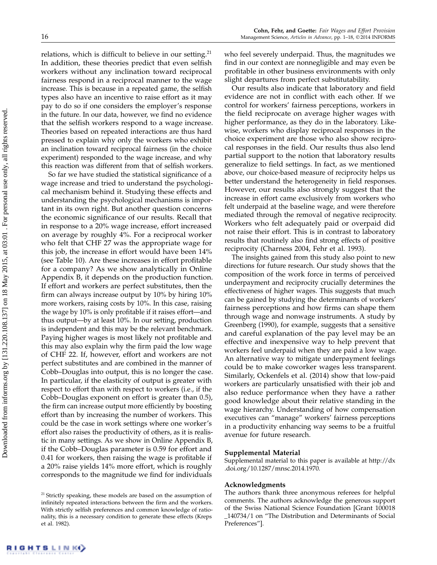relations, which is difficult to believe in our setting.<sup>21</sup> In addition, these theories predict that even selfish workers without any inclination toward reciprocal fairness respond in a reciprocal manner to the wage increase. This is because in a repeated game, the selfish types also have an incentive to raise effort as it may pay to do so if one considers the employer's response in the future. In our data, however, we find no evidence that the selfish workers respond to a wage increase. Theories based on repeated interactions are thus hard pressed to explain why only the workers who exhibit an inclination toward reciprocal fairness (in the choice experiment) responded to the wage increase, and why this reaction was different from that of selfish workers.

So far we have studied the statistical significance of a wage increase and tried to understand the psychological mechanism behind it. Studying these effects and understanding the psychological mechanisms is important in its own right. But another question concerns the economic significance of our results. Recall that in response to a 20% wage increase, effort increased on average by roughly 4%. For a reciprocal worker who felt that CHF 27 was the appropriate wage for this job, the increase in effort would have been 14% (see Table 10). Are these increases in effort profitable for a company? As we show analytically in Online Appendix B, it depends on the production function. If effort and workers are perfect substitutes, then the firm can always increase output by 10% by hiring 10% more workers, raising costs by 10%. In this case, raising the wage by 10% is only profitable if it raises effort—and thus output—by at least 10%. In our setting, production is independent and this may be the relevant benchmark. Paying higher wages is most likely not profitable and this may also explain why the firm paid the low wage of CHF 22. If, however, effort and workers are not perfect substitutes and are combined in the manner of Cobb–Douglas into output, this is no longer the case. In particular, if the elasticity of output is greater with respect to effort than with respect to workers (i.e., if the Cobb–Douglas exponent on effort is greater than 0.5), the firm can increase output more efficiently by boosting effort than by increasing the number of workers. This could be the case in work settings where one worker's effort also raises the productivity of others, as it is realistic in many settings. As we show in Online Appendix B, if the Cobb–Douglas parameter is 0.59 for effort and 0.41 for workers, then raising the wage is profitable if a 20% raise yields 14% more effort, which is roughly corresponds to the magnitude we find for individuals

who feel severely underpaid. Thus, the magnitudes we find in our context are nonnegligible and may even be profitable in other business environments with only slight departures from perfect substitutability.

Our results also indicate that laboratory and field evidence are not in conflict with each other. If we control for workers' fairness perceptions, workers in the field reciprocate on average higher wages with higher performance, as they do in the laboratory. Likewise, workers who display reciprocal responses in the choice experiment are those who also show reciprocal responses in the field. Our results thus also lend partial support to the notion that laboratory results generalize to field settings. In fact, as we mentioned above, our choice-based measure of reciprocity helps us better understand the heterogeneity in field responses. However, our results also strongly suggest that the increase in effort came exclusively from workers who felt underpaid at the baseline wage, and were therefore mediated through the removal of negative reciprocity. Workers who felt adequately paid or overpaid did not raise their effort. This is in contrast to laboratory results that routinely also find strong effects of positive reciprocity (Charness 2004, Fehr et al. 1993).

The insights gained from this study also point to new directions for future research. Our study shows that the composition of the work force in terms of perceived underpayment and reciprocity crucially determines the effectiveness of higher wages. This suggests that much can be gained by studying the determinants of workers' fairness perceptions and how firms can shape them through wage and nonwage instruments. A study by Greenberg (1990), for example, suggests that a sensitive and careful explanation of the pay level may be an effective and inexpensive way to help prevent that workers feel underpaid when they are paid a low wage. An alternative way to mitigate underpayment feelings could be to make coworker wages less transparent. Similarly, Ockenfels et al. (2014) show that low-paid workers are particularly unsatisfied with their job and also reduce performance when they have a rather good knowledge about their relative standing in the wage hierarchy. Understanding of how compensation executives can "manage" workers' fairness perceptions in a productivity enhancing way seems to be a fruitful avenue for future research.

#### Supplemental Material

Supplemental material to this paper is available at http://dx .doi.org/10.1287/mnsc.2014.1970.

#### Acknowledgments

The authors thank three anonymous referees for helpful comments. The authors acknowledge the generous support of the Swiss National Science Foundation [Grant 100018 \_140734/1 on "The Distribution and Determinants of Social Preferences"].

<sup>&</sup>lt;sup>21</sup> Strictly speaking, these models are based on the assumption of infinitely repeated interactions between the firm and the workers. With strictly selfish preferences and common knowledge of rationality, this is a necessary condition to generate these effects (Kreps et al. 1982).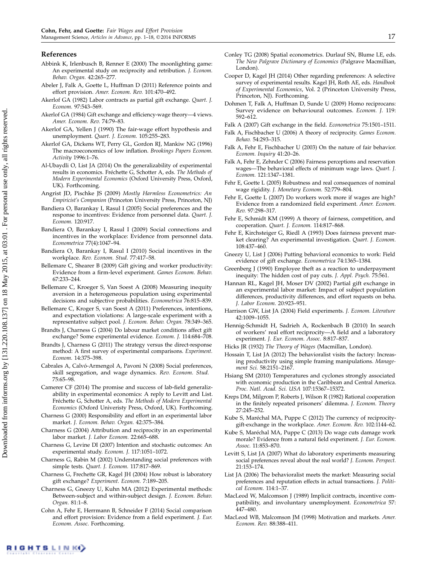#### References

- Abbink K, Irlenbusch B, Renner E (2000) The moonlighting game: An experimental study on reciprocity and retribution. J. Econom. Behav. Organ. 42:265–277.
- Abeler J, Falk A, Goette L, Huffman D (2011) Reference points and effort provision. Amer. Econom. Rev. 101:470–492.
- Akerlof GA (1982) Labor contracts as partial gift exchange. Quart. J. Econom. 97:543–569.
- Akerlof GA (1984) Gift exchange and efficiency-wage theory—4 views. Amer. Econom. Rev. 74:79–83.
- Akerlof GA, Yellen J (1990) The fair-wage effort hypothesis and unemployment. Quart. J. Econom. 105:255–283.
- Akerlof GA, Dickens WT, Perry GL, Gordon RJ, Mankiw NG (1996) The macroeconomics of low inflation. Brookings Papers Econom. Activity 1996:1–76.
- Al-Ubaydli O, List JA (2014) On the generalizability of experimental results in economics. Fréchette G, Schotter A, eds. The Methods of Modern Experimental Economics (Oxford University Press, Oxford, UK). Forthcoming.
- Angrist JD, Pischke JS (2009) Mostly Harmless Econometrics: An Empiricist's Companion (Princeton University Press, Princeton, NJ)
- Bandiera O, Barankay I, Rasul I (2005) Social preferences and the response to incentives: Evidence from personnel data. Quart. J. Econom. 120:917.
- Bandiera O, Barankay I, Rasul I (2009) Social connections and incentives in the workplace: Evidence from personnel data. Econometrica 77(4):1047–94.
- Bandiera O, Barankay I, Rasul I (2010) Social incentives in the workplace. Rev. Econom. Stud. 77:417–58.
- Bellemare C, Shearer B (2009) Gift giving and worker productivity: Evidence from a firm-level experiment. Games Econom. Behav. 67:233–244.
- Bellemare C, Kroeger S, Van Soest A (2008) Measuring inequity aversion in a heterogeneous population using experimental decisions and subjective probabilities. Econometrica 76:815–839.
- Bellemare C, Kroger S, van Soest A (2011) Preferences, intentions, and expectation violations: A large-scale experiment with a representative subject pool. J. Econom. Behav. Organ. 78:349–365.
- Brandts J, Charness G (2004) Do labour market conditions affect gift exchange? Some experimental evidence. Econom. J. 114:684–708.
- Brandts J, Charness G (2011) The strategy versus the direct-response method: A first survey of experimental comparisons. Experiment. Econom. 14:375–398.
- Cabrales A, Calvó-Armengol A, Pavoni N (2008) Social preferences, skill segregation, and wage dynamics. Rev. Econom. Stud. 75:65–98.
- Camerer CF (2014) The promise and success of lab-field generalizability in experimental economics: A reply to Levitt and List. Fréchette G, Schotter A, eds. The Methods of Modern Experimental Economics (Oxford Univeristy Press, Oxford, UK). Forthcoming.
- Charness G (2000) Responsibility and effort in an experimental labor market. J. Econom. Behav. Organ. 42:375–384.
- Charness G (2004) Attribution and reciprocity in an experimental labor market. J. Labor Econom. 22:665–688.
- Charness G, Levine DI (2007) Intention and stochastic outcomes: An experimental study. Econom. J. 117:1051–1072.
- Charness G, Rabin M (2002) Understanding social preferences with simple tests. Quart. J. Econom. 117:817–869.
- Charness G, Frechette GR, Kagel JH (2004) How robust is laboratory gift exchange? Experiment. Econom. 7:189–205.
- Charness G, Gneezy U, Kuhn MA (2012) Experimental methods: Between-subject and within-subject design. J. Econom. Behav. Organ. 81:1–8.
- Cohn A, Fehr E, Herrmann B, Schneider F (2014) Social comparison and effort provision: Evidence from a field experiment. J. Eur. Econom. Assoc. Forthcoming.
- Conley TG (2008) Spatial econometrics. Durlauf SN, Blume LE, eds. The New Palgrave Dictionary of Economics (Palgrave Macmillian, London).
- Cooper D, Kagel JH (2014) Other regarding preferences: A selective survey of experimental results. Kagel JH, Roth AE, eds. Handbook of Experimental Economics, Vol. 2 (Princeton University Press, Princeton, NJ). Forthcoming.
- Dohmen T, Falk A, Huffman D, Sunde U (2009) Homo reciprocans: Survey evidence on behavioural outcomes. Econom. J. 119: 592–612.
- Falk A (2007) Gift exchange in the field. Econometrica 75:1501–1511.
- Falk A, Fischbacher U (2006) A theory of reciprocity. Games Econom. Behav. 54:293–315.
- Falk A, Fehr E, Fischbacher U (2003) On the nature of fair behavior. Econom. Inquiry 41:20–26.
- Falk A, Fehr E, Zehnder C (2006) Fairness perceptions and reservation wages—The behavioral effects of minimum wage laws. Quart. J. Econom. 121:1347–1381.
- Fehr E, Goette L (2005) Robustness and real consequences of nominal wage rigidity. J. Monetary Econom. 52:779–804.
- Fehr E, Goette L (2007) Do workers work more if wages are high? Evidence from a randomized field experiment. Amer. Econom. Rev. 97:298–317.
- Fehr E, Schmidt KM (1999) A theory of fairness, competition, and cooperation. Quart. J. Econom. 114:817–868.
- Fehr E, Kirchsteiger G, Riedl A (1993) Does fairness prevent market clearing? An experimental investigation. Quart. J. Econom. 108:437–460.
- Gneezy U, List J (2006) Putting behavioral economics to work: Field evidence of gift exchange. Econometrica 74:1365–1384.
- Greenberg J (1990) Employee theft as a reaction to underpayment inequity: The hidden cost of pay cuts. J. Appl. Psych. 75:561.
- Hannan RL, Kagel JH, Moser DV (2002) Partial gift exchange in an experimental labor market: Impact of subject population differences, productivity differences, and effort requests on beha. J. Labor Econom. 20:923–951.
- Harrison GW, List JA (2004) Field experiments. J. Econom. Literature 42:1009–1055.
- Hennig-Schmidt H, Sadrieh A, Rockenbach B (2010) In search of workers' real effort reciprocity—A field and a laboratory experiment. J. Eur. Econom. Assoc. 8:817–837.
- Hicks JR (1932) The Theory of Wages (Macmillan, London).
- Hossain T, List JA (2012) The behavioralist visits the factory: Increasing productivity using simple framing manipulations. Management Sci. 58:2151–2167.
- Hsiang SM (2010) Temperatures and cyclones strongly associated with economic production in the Caribbean and Central America. Proc. Natl. Acad. Sci. USA 107:15367–15372.
- Kreps DM, Milgrom P, Roberts J, Wilson R (1982) Rational cooperation in the finitely repeated prisoners' dilemma. J. Econom. Theory 27:245–252.
- Kube S, Maréchal MA, Puppe C (2012) The currency of reciprocitygift-exchange in the workplace. Amer. Econom. Rev. 102:1144–62.
- Kube S, Maréchal MA, Puppe C (2013) Do wage cuts damage work morale? Evidence from a natural field experiment. J. Eur. Econom. Assoc. 11:853–870.
- Levitt S, List JA (2007) What do laboratory experiments measuring social preferences reveal about the real world? J. Econom. Perspect. 21:153–174.
- List JA (2006) The behavioralist meets the market: Measuring social preferences and reputation effects in actual transactions. J. Political Econom. 114:1–37.
- MacLeod W, Malcomson J (1989) Implicit contracts, incentive compatibility, and involuntary unemployment. Econometrica 57: 447–480.
- MacLeod WB, Malcomson JM (1998) Motivation and markets. Amer. Econom. Rev. 88:388–411.